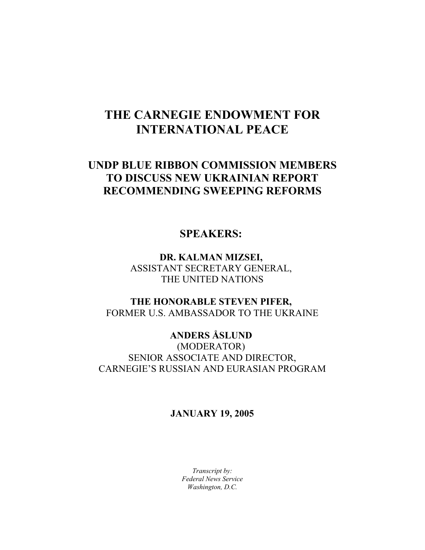## **THE CARNEGIE ENDOWMENT FOR INTERNATIONAL PEACE**

## **UNDP BLUE RIBBON COMMISSION MEMBERS TO DISCUSS NEW UKRAINIAN REPORT RECOMMENDING SWEEPING REFORMS**

## **SPEAKERS:**

**DR. KALMAN MIZSEI,**  ASSISTANT SECRETARY GENERAL, THE UNITED NATIONS

**THE HONORABLE STEVEN PIFER,**  FORMER U.S. AMBASSADOR TO THE UKRAINE

**ANDERS ÅSLUND**  (MODERATOR) SENIOR ASSOCIATE AND DIRECTOR, CARNEGIE'S RUSSIAN AND EURASIAN PROGRAM

## **JANUARY 19, 2005**

*Transcript by: Federal News Service Washington, D.C.*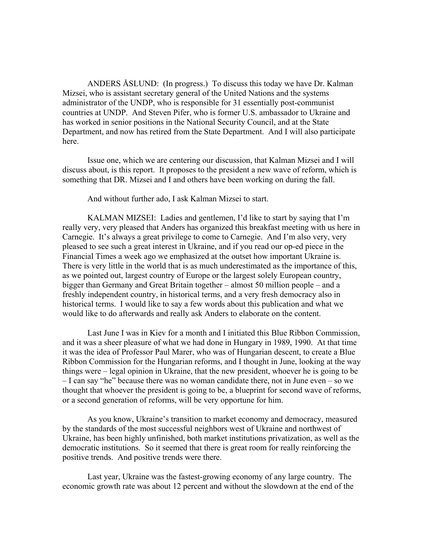ANDERS ÅSLUND: (In progress.) To discuss this today we have Dr. Kalman Mizsei, who is assistant secretary general of the United Nations and the systems administrator of the UNDP, who is responsible for 31 essentially post-communist countries at UNDP. And Steven Pifer, who is former U.S. ambassador to Ukraine and has worked in senior positions in the National Security Council, and at the State Department, and now has retired from the State Department. And I will also participate here.

Issue one, which we are centering our discussion, that Kalman Mizsei and I will discuss about, is this report. It proposes to the president a new wave of reform, which is something that DR. Mizsei and I and others have been working on during the fall.

And without further ado, I ask Kalman Mizsei to start.

KALMAN MIZSEI: Ladies and gentlemen, I'd like to start by saying that I'm really very, very pleased that Anders has organized this breakfast meeting with us here in Carnegie. It's always a great privilege to come to Carnegie. And I'm also very, very pleased to see such a great interest in Ukraine, and if you read our op-ed piece in the Financial Times a week ago we emphasized at the outset how important Ukraine is. There is very little in the world that is as much underestimated as the importance of this, as we pointed out, largest country of Europe or the largest solely European country, bigger than Germany and Great Britain together – almost 50 million people – and a freshly independent country, in historical terms, and a very fresh democracy also in historical terms. I would like to say a few words about this publication and what we would like to do afterwards and really ask Anders to elaborate on the content.

Last June I was in Kiev for a month and I initiated this Blue Ribbon Commission, and it was a sheer pleasure of what we had done in Hungary in 1989, 1990. At that time it was the idea of Professor Paul Marer, who was of Hungarian descent, to create a Blue Ribbon Commission for the Hungarian reforms, and I thought in June, looking at the way things were – legal opinion in Ukraine, that the new president, whoever he is going to be – I can say "he" because there was no woman candidate there, not in June even – so we thought that whoever the president is going to be, a blueprint for second wave of reforms, or a second generation of reforms, will be very opportune for him.

As you know, Ukraine's transition to market economy and democracy, measured by the standards of the most successful neighbors west of Ukraine and northwest of Ukraine, has been highly unfinished, both market institutions privatization, as well as the democratic institutions. So it seemed that there is great room for really reinforcing the positive trends. And positive trends were there.

Last year, Ukraine was the fastest-growing economy of any large country. The economic growth rate was about 12 percent and without the slowdown at the end of the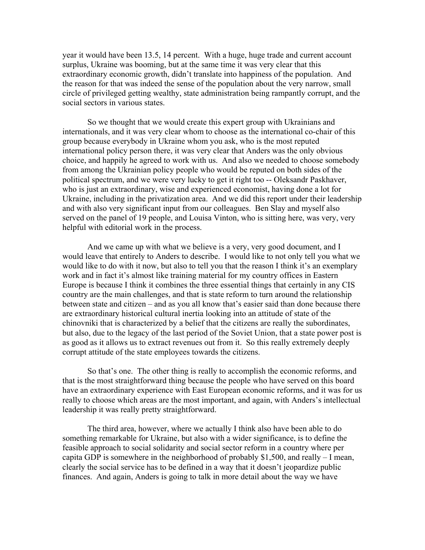year it would have been 13.5, 14 percent. With a huge, huge trade and current account surplus, Ukraine was booming, but at the same time it was very clear that this extraordinary economic growth, didn't translate into happiness of the population. And the reason for that was indeed the sense of the population about the very narrow, small circle of privileged getting wealthy, state administration being rampantly corrupt, and the social sectors in various states.

So we thought that we would create this expert group with Ukrainians and internationals, and it was very clear whom to choose as the international co-chair of this group because everybody in Ukraine whom you ask, who is the most reputed international policy person there, it was very clear that Anders was the only obvious choice, and happily he agreed to work with us. And also we needed to choose somebody from among the Ukrainian policy people who would be reputed on both sides of the political spectrum, and we were very lucky to get it right too -- Oleksandr Paskhaver, who is just an extraordinary, wise and experienced economist, having done a lot for Ukraine, including in the privatization area. And we did this report under their leadership and with also very significant input from our colleagues. Ben Slay and myself also served on the panel of 19 people, and Louisa Vinton, who is sitting here, was very, very helpful with editorial work in the process.

And we came up with what we believe is a very, very good document, and I would leave that entirely to Anders to describe. I would like to not only tell you what we would like to do with it now, but also to tell you that the reason I think it's an exemplary work and in fact it's almost like training material for my country offices in Eastern Europe is because I think it combines the three essential things that certainly in any CIS country are the main challenges, and that is state reform to turn around the relationship between state and citizen – and as you all know that's easier said than done because there are extraordinary historical cultural inertia looking into an attitude of state of the chinovniki that is characterized by a belief that the citizens are really the subordinates, but also, due to the legacy of the last period of the Soviet Union, that a state power post is as good as it allows us to extract revenues out from it. So this really extremely deeply corrupt attitude of the state employees towards the citizens.

So that's one. The other thing is really to accomplish the economic reforms, and that is the most straightforward thing because the people who have served on this board have an extraordinary experience with East European economic reforms, and it was for us really to choose which areas are the most important, and again, with Anders's intellectual leadership it was really pretty straightforward.

The third area, however, where we actually I think also have been able to do something remarkable for Ukraine, but also with a wider significance, is to define the feasible approach to social solidarity and social sector reform in a country where per capita GDP is somewhere in the neighborhood of probably \$1,500, and really – I mean, clearly the social service has to be defined in a way that it doesn't jeopardize public finances. And again, Anders is going to talk in more detail about the way we have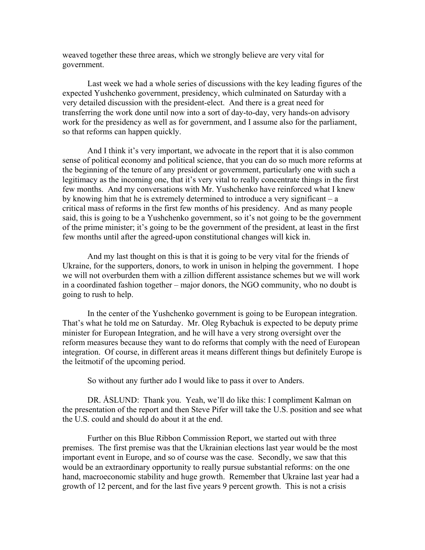weaved together these three areas, which we strongly believe are very vital for government.

Last week we had a whole series of discussions with the key leading figures of the expected Yushchenko government, presidency, which culminated on Saturday with a very detailed discussion with the president-elect. And there is a great need for transferring the work done until now into a sort of day-to-day, very hands-on advisory work for the presidency as well as for government, and I assume also for the parliament, so that reforms can happen quickly.

And I think it's very important, we advocate in the report that it is also common sense of political economy and political science, that you can do so much more reforms at the beginning of the tenure of any president or government, particularly one with such a legitimacy as the incoming one, that it's very vital to really concentrate things in the first few months. And my conversations with Mr. Yushchenko have reinforced what I knew by knowing him that he is extremely determined to introduce a very significant – a critical mass of reforms in the first few months of his presidency. And as many people said, this is going to be a Yushchenko government, so it's not going to be the government of the prime minister; it's going to be the government of the president, at least in the first few months until after the agreed-upon constitutional changes will kick in.

And my last thought on this is that it is going to be very vital for the friends of Ukraine, for the supporters, donors, to work in unison in helping the government. I hope we will not overburden them with a zillion different assistance schemes but we will work in a coordinated fashion together – major donors, the NGO community, who no doubt is going to rush to help.

In the center of the Yushchenko government is going to be European integration. That's what he told me on Saturday. Mr. Oleg Rybachuk is expected to be deputy prime minister for European Integration, and he will have a very strong oversight over the reform measures because they want to do reforms that comply with the need of European integration. Of course, in different areas it means different things but definitely Europe is the leitmotif of the upcoming period.

So without any further ado I would like to pass it over to Anders.

DR. ÅSLUND: Thank you. Yeah, we'll do like this: I compliment Kalman on the presentation of the report and then Steve Pifer will take the U.S. position and see what the U.S. could and should do about it at the end.

Further on this Blue Ribbon Commission Report, we started out with three premises. The first premise was that the Ukrainian elections last year would be the most important event in Europe, and so of course was the case. Secondly, we saw that this would be an extraordinary opportunity to really pursue substantial reforms: on the one hand, macroeconomic stability and huge growth. Remember that Ukraine last year had a growth of 12 percent, and for the last five years 9 percent growth. This is not a crisis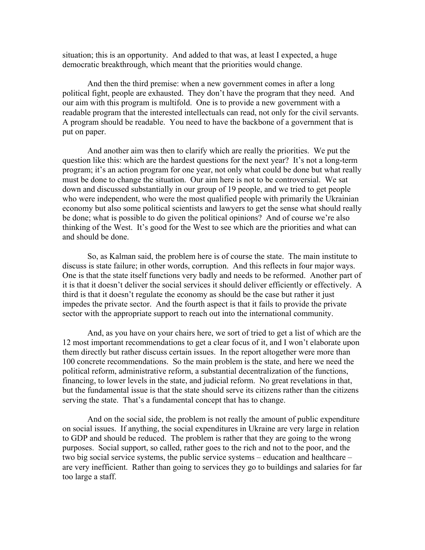situation; this is an opportunity. And added to that was, at least I expected, a huge democratic breakthrough, which meant that the priorities would change.

And then the third premise: when a new government comes in after a long political fight, people are exhausted. They don't have the program that they need. And our aim with this program is multifold. One is to provide a new government with a readable program that the interested intellectuals can read, not only for the civil servants. A program should be readable. You need to have the backbone of a government that is put on paper.

And another aim was then to clarify which are really the priorities. We put the question like this: which are the hardest questions for the next year? It's not a long-term program; it's an action program for one year, not only what could be done but what really must be done to change the situation. Our aim here is not to be controversial. We sat down and discussed substantially in our group of 19 people, and we tried to get people who were independent, who were the most qualified people with primarily the Ukrainian economy but also some political scientists and lawyers to get the sense what should really be done; what is possible to do given the political opinions? And of course we're also thinking of the West. It's good for the West to see which are the priorities and what can and should be done.

So, as Kalman said, the problem here is of course the state. The main institute to discuss is state failure; in other words, corruption. And this reflects in four major ways. One is that the state itself functions very badly and needs to be reformed. Another part of it is that it doesn't deliver the social services it should deliver efficiently or effectively. A third is that it doesn't regulate the economy as should be the case but rather it just impedes the private sector. And the fourth aspect is that it fails to provide the private sector with the appropriate support to reach out into the international community.

And, as you have on your chairs here, we sort of tried to get a list of which are the 12 most important recommendations to get a clear focus of it, and I won't elaborate upon them directly but rather discuss certain issues. In the report altogether were more than 100 concrete recommendations. So the main problem is the state, and here we need the political reform, administrative reform, a substantial decentralization of the functions, financing, to lower levels in the state, and judicial reform. No great revelations in that, but the fundamental issue is that the state should serve its citizens rather than the citizens serving the state. That's a fundamental concept that has to change.

And on the social side, the problem is not really the amount of public expenditure on social issues. If anything, the social expenditures in Ukraine are very large in relation to GDP and should be reduced. The problem is rather that they are going to the wrong purposes. Social support, so called, rather goes to the rich and not to the poor, and the two big social service systems, the public service systems – education and healthcare – are very inefficient. Rather than going to services they go to buildings and salaries for far too large a staff.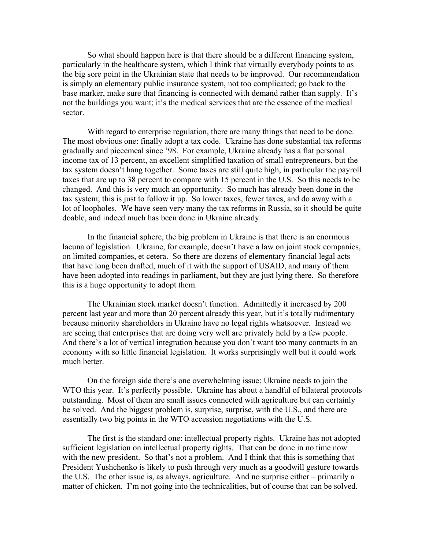So what should happen here is that there should be a different financing system, particularly in the healthcare system, which I think that virtually everybody points to as the big sore point in the Ukrainian state that needs to be improved. Our recommendation is simply an elementary public insurance system, not too complicated; go back to the base marker, make sure that financing is connected with demand rather than supply. It's not the buildings you want; it's the medical services that are the essence of the medical sector.

With regard to enterprise regulation, there are many things that need to be done. The most obvious one: finally adopt a tax code. Ukraine has done substantial tax reforms gradually and piecemeal since '98. For example, Ukraine already has a flat personal income tax of 13 percent, an excellent simplified taxation of small entrepreneurs, but the tax system doesn't hang together. Some taxes are still quite high, in particular the payroll taxes that are up to 38 percent to compare with 15 percent in the U.S. So this needs to be changed. And this is very much an opportunity. So much has already been done in the tax system; this is just to follow it up. So lower taxes, fewer taxes, and do away with a lot of loopholes. We have seen very many the tax reforms in Russia, so it should be quite doable, and indeed much has been done in Ukraine already.

In the financial sphere, the big problem in Ukraine is that there is an enormous lacuna of legislation. Ukraine, for example, doesn't have a law on joint stock companies, on limited companies, et cetera. So there are dozens of elementary financial legal acts that have long been drafted, much of it with the support of USAID, and many of them have been adopted into readings in parliament, but they are just lying there. So therefore this is a huge opportunity to adopt them.

The Ukrainian stock market doesn't function. Admittedly it increased by 200 percent last year and more than 20 percent already this year, but it's totally rudimentary because minority shareholders in Ukraine have no legal rights whatsoever. Instead we are seeing that enterprises that are doing very well are privately held by a few people. And there's a lot of vertical integration because you don't want too many contracts in an economy with so little financial legislation. It works surprisingly well but it could work much better.

On the foreign side there's one overwhelming issue: Ukraine needs to join the WTO this year. It's perfectly possible. Ukraine has about a handful of bilateral protocols outstanding. Most of them are small issues connected with agriculture but can certainly be solved. And the biggest problem is, surprise, surprise, with the U.S., and there are essentially two big points in the WTO accession negotiations with the U.S.

The first is the standard one: intellectual property rights. Ukraine has not adopted sufficient legislation on intellectual property rights. That can be done in no time now with the new president. So that's not a problem. And I think that this is something that President Yushchenko is likely to push through very much as a goodwill gesture towards the U.S. The other issue is, as always, agriculture. And no surprise either – primarily a matter of chicken. I'm not going into the technicalities, but of course that can be solved.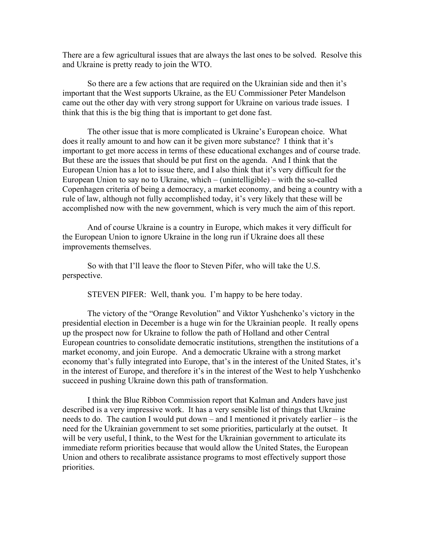There are a few agricultural issues that are always the last ones to be solved. Resolve this and Ukraine is pretty ready to join the WTO.

So there are a few actions that are required on the Ukrainian side and then it's important that the West supports Ukraine, as the EU Commissioner Peter Mandelson came out the other day with very strong support for Ukraine on various trade issues. I think that this is the big thing that is important to get done fast.

The other issue that is more complicated is Ukraine's European choice. What does it really amount to and how can it be given more substance? I think that it's important to get more access in terms of these educational exchanges and of course trade. But these are the issues that should be put first on the agenda. And I think that the European Union has a lot to issue there, and I also think that it's very difficult for the European Union to say no to Ukraine, which – (unintelligible) – with the so-called Copenhagen criteria of being a democracy, a market economy, and being a country with a rule of law, although not fully accomplished today, it's very likely that these will be accomplished now with the new government, which is very much the aim of this report.

And of course Ukraine is a country in Europe, which makes it very difficult for the European Union to ignore Ukraine in the long run if Ukraine does all these improvements themselves.

So with that I'll leave the floor to Steven Pifer, who will take the U.S. perspective.

STEVEN PIFER: Well, thank you. I'm happy to be here today.

The victory of the "Orange Revolution" and Viktor Yushchenko's victory in the presidential election in December is a huge win for the Ukrainian people. It really opens up the prospect now for Ukraine to follow the path of Holland and other Central European countries to consolidate democratic institutions, strengthen the institutions of a market economy, and join Europe. And a democratic Ukraine with a strong market economy that's fully integrated into Europe, that's in the interest of the United States, it's in the interest of Europe, and therefore it's in the interest of the West to help Yushchenko succeed in pushing Ukraine down this path of transformation.

I think the Blue Ribbon Commission report that Kalman and Anders have just described is a very impressive work. It has a very sensible list of things that Ukraine needs to do. The caution I would put down – and I mentioned it privately earlier – is the need for the Ukrainian government to set some priorities, particularly at the outset. It will be very useful, I think, to the West for the Ukrainian government to articulate its immediate reform priorities because that would allow the United States, the European Union and others to recalibrate assistance programs to most effectively support those priorities.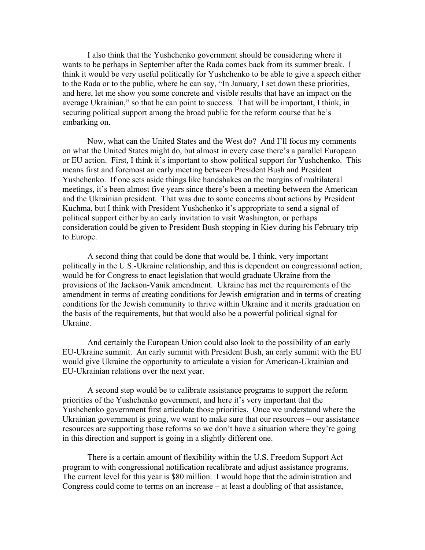I also think that the Yushchenko government should be considering where it wants to be perhaps in September after the Rada comes back from its summer break. I think it would be very useful politically for Yushchenko to be able to give a speech either to the Rada or to the public, where he can say, "In January, I set down these priorities, and here, let me show you some concrete and visible results that have an impact on the average Ukrainian," so that he can point to success. That will be important, I think, in securing political support among the broad public for the reform course that he's embarking on.

Now, what can the United States and the West do? And I'll focus my comments on what the United States might do, but almost in every case there's a parallel European or EU action. First, I think it's important to show political support for Yushchenko. This means first and foremost an early meeting between President Bush and President Yushchenko. If one sets aside things like handshakes on the margins of multilateral meetings, it's been almost five years since there's been a meeting between the American and the Ukrainian president. That was due to some concerns about actions by President Kuchma, but I think with President Yushchenko it's appropriate to send a signal of political support either by an early invitation to visit Washington, or perhaps consideration could be given to President Bush stopping in Kiev during his February trip to Europe.

A second thing that could be done that would be, I think, very important politically in the U.S.-Ukraine relationship, and this is dependent on congressional action, would be for Congress to enact legislation that would graduate Ukraine from the provisions of the Jackson-Vanik amendment. Ukraine has met the requirements of the amendment in terms of creating conditions for Jewish emigration and in terms of creating conditions for the Jewish community to thrive within Ukraine and it merits graduation on the basis of the requirements, but that would also be a powerful political signal for Ukraine.

And certainly the European Union could also look to the possibility of an early EU-Ukraine summit. An early summit with President Bush, an early summit with the EU would give Ukraine the opportunity to articulate a vision for American-Ukrainian and EU-Ukrainian relations over the next year.

A second step would be to calibrate assistance programs to support the reform priorities of the Yushchenko government, and here it's very important that the Yushchenko government first articulate those priorities. Once we understand where the Ukrainian government is going, we want to make sure that our resources – our assistance resources are supporting those reforms so we don't have a situation where they're going in this direction and support is going in a slightly different one.

There is a certain amount of flexibility within the U.S. Freedom Support Act program to with congressional notification recalibrate and adjust assistance programs. The current level for this year is \$80 million. I would hope that the administration and Congress could come to terms on an increase – at least a doubling of that assistance,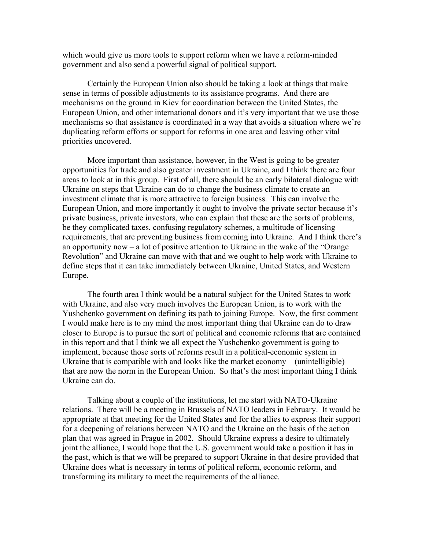which would give us more tools to support reform when we have a reform-minded government and also send a powerful signal of political support.

Certainly the European Union also should be taking a look at things that make sense in terms of possible adjustments to its assistance programs. And there are mechanisms on the ground in Kiev for coordination between the United States, the European Union, and other international donors and it's very important that we use those mechanisms so that assistance is coordinated in a way that avoids a situation where we're duplicating reform efforts or support for reforms in one area and leaving other vital priorities uncovered.

More important than assistance, however, in the West is going to be greater opportunities for trade and also greater investment in Ukraine, and I think there are four areas to look at in this group. First of all, there should be an early bilateral dialogue with Ukraine on steps that Ukraine can do to change the business climate to create an investment climate that is more attractive to foreign business. This can involve the European Union, and more importantly it ought to involve the private sector because it's private business, private investors, who can explain that these are the sorts of problems, be they complicated taxes, confusing regulatory schemes, a multitude of licensing requirements, that are preventing business from coming into Ukraine. And I think there's an opportunity now – a lot of positive attention to Ukraine in the wake of the "Orange Revolution" and Ukraine can move with that and we ought to help work with Ukraine to define steps that it can take immediately between Ukraine, United States, and Western Europe.

The fourth area I think would be a natural subject for the United States to work with Ukraine, and also very much involves the European Union, is to work with the Yushchenko government on defining its path to joining Europe. Now, the first comment I would make here is to my mind the most important thing that Ukraine can do to draw closer to Europe is to pursue the sort of political and economic reforms that are contained in this report and that I think we all expect the Yushchenko government is going to implement, because those sorts of reforms result in a political-economic system in Ukraine that is compatible with and looks like the market economy – (unintelligible) – that are now the norm in the European Union. So that's the most important thing I think Ukraine can do.

Talking about a couple of the institutions, let me start with NATO-Ukraine relations. There will be a meeting in Brussels of NATO leaders in February. It would be appropriate at that meeting for the United States and for the allies to express their support for a deepening of relations between NATO and the Ukraine on the basis of the action plan that was agreed in Prague in 2002. Should Ukraine express a desire to ultimately joint the alliance, I would hope that the U.S. government would take a position it has in the past, which is that we will be prepared to support Ukraine in that desire provided that Ukraine does what is necessary in terms of political reform, economic reform, and transforming its military to meet the requirements of the alliance.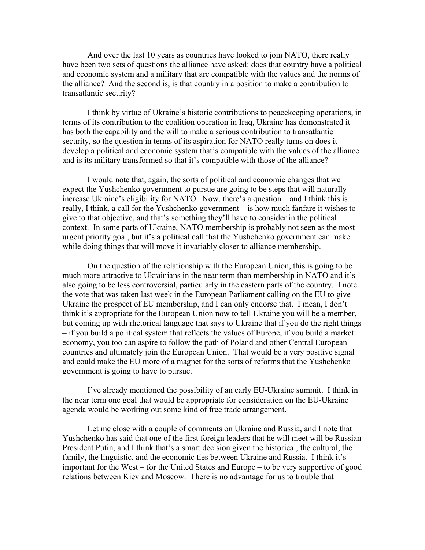And over the last 10 years as countries have looked to join NATO, there really have been two sets of questions the alliance have asked: does that country have a political and economic system and a military that are compatible with the values and the norms of the alliance? And the second is, is that country in a position to make a contribution to transatlantic security?

I think by virtue of Ukraine's historic contributions to peacekeeping operations, in terms of its contribution to the coalition operation in Iraq, Ukraine has demonstrated it has both the capability and the will to make a serious contribution to transatlantic security, so the question in terms of its aspiration for NATO really turns on does it develop a political and economic system that's compatible with the values of the alliance and is its military transformed so that it's compatible with those of the alliance?

I would note that, again, the sorts of political and economic changes that we expect the Yushchenko government to pursue are going to be steps that will naturally increase Ukraine's eligibility for NATO. Now, there's a question – and I think this is really, I think, a call for the Yushchenko government – is how much fanfare it wishes to give to that objective, and that's something they'll have to consider in the political context. In some parts of Ukraine, NATO membership is probably not seen as the most urgent priority goal, but it's a political call that the Yushchenko government can make while doing things that will move it invariably closer to alliance membership.

On the question of the relationship with the European Union, this is going to be much more attractive to Ukrainians in the near term than membership in NATO and it's also going to be less controversial, particularly in the eastern parts of the country. I note the vote that was taken last week in the European Parliament calling on the EU to give Ukraine the prospect of EU membership, and I can only endorse that. I mean, I don't think it's appropriate for the European Union now to tell Ukraine you will be a member, but coming up with rhetorical language that says to Ukraine that if you do the right things – if you build a political system that reflects the values of Europe, if you build a market economy, you too can aspire to follow the path of Poland and other Central European countries and ultimately join the European Union. That would be a very positive signal and could make the EU more of a magnet for the sorts of reforms that the Yushchenko government is going to have to pursue.

I've already mentioned the possibility of an early EU-Ukraine summit. I think in the near term one goal that would be appropriate for consideration on the EU-Ukraine agenda would be working out some kind of free trade arrangement.

Let me close with a couple of comments on Ukraine and Russia, and I note that Yushchenko has said that one of the first foreign leaders that he will meet will be Russian President Putin, and I think that's a smart decision given the historical, the cultural, the family, the linguistic, and the economic ties between Ukraine and Russia. I think it's important for the West – for the United States and Europe – to be very supportive of good relations between Kiev and Moscow. There is no advantage for us to trouble that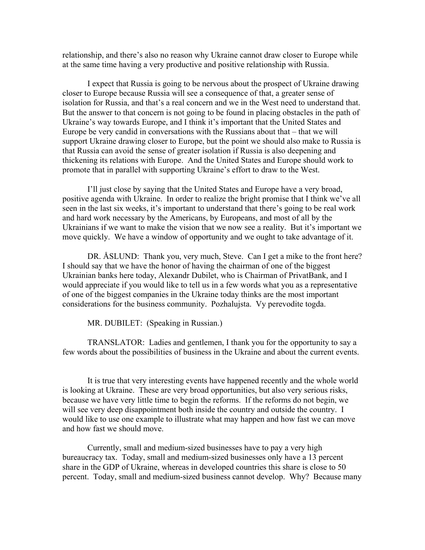relationship, and there's also no reason why Ukraine cannot draw closer to Europe while at the same time having a very productive and positive relationship with Russia.

I expect that Russia is going to be nervous about the prospect of Ukraine drawing closer to Europe because Russia will see a consequence of that, a greater sense of isolation for Russia, and that's a real concern and we in the West need to understand that. But the answer to that concern is not going to be found in placing obstacles in the path of Ukraine's way towards Europe, and I think it's important that the United States and Europe be very candid in conversations with the Russians about that – that we will support Ukraine drawing closer to Europe, but the point we should also make to Russia is that Russia can avoid the sense of greater isolation if Russia is also deepening and thickening its relations with Europe. And the United States and Europe should work to promote that in parallel with supporting Ukraine's effort to draw to the West.

I'll just close by saying that the United States and Europe have a very broad, positive agenda with Ukraine. In order to realize the bright promise that I think we've all seen in the last six weeks, it's important to understand that there's going to be real work and hard work necessary by the Americans, by Europeans, and most of all by the Ukrainians if we want to make the vision that we now see a reality. But it's important we move quickly. We have a window of opportunity and we ought to take advantage of it.

DR. ÅSLUND: Thank you, very much, Steve. Can I get a mike to the front here? I should say that we have the honor of having the chairman of one of the biggest Ukrainian banks here today, Alexandr Dubilet, who is Chairman of PrivatBank, and I would appreciate if you would like to tell us in a few words what you as a representative of one of the biggest companies in the Ukraine today thinks are the most important considerations for the business community. Pozhalujsta. Vy perevodite togda.

MR. DUBILET: (Speaking in Russian.)

TRANSLATOR: Ladies and gentlemen, I thank you for the opportunity to say a few words about the possibilities of business in the Ukraine and about the current events.

It is true that very interesting events have happened recently and the whole world is looking at Ukraine. These are very broad opportunities, but also very serious risks, because we have very little time to begin the reforms. If the reforms do not begin, we will see very deep disappointment both inside the country and outside the country. I would like to use one example to illustrate what may happen and how fast we can move and how fast we should move.

Currently, small and medium-sized businesses have to pay a very high bureaucracy tax. Today, small and medium-sized businesses only have a 13 percent share in the GDP of Ukraine, whereas in developed countries this share is close to 50 percent. Today, small and medium-sized business cannot develop. Why? Because many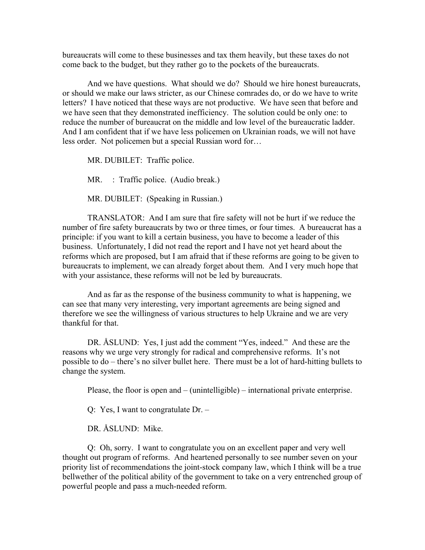bureaucrats will come to these businesses and tax them heavily, but these taxes do not come back to the budget, but they rather go to the pockets of the bureaucrats.

And we have questions. What should we do? Should we hire honest bureaucrats, or should we make our laws stricter, as our Chinese comrades do, or do we have to write letters? I have noticed that these ways are not productive. We have seen that before and we have seen that they demonstrated inefficiency. The solution could be only one: to reduce the number of bureaucrat on the middle and low level of the bureaucratic ladder. And I am confident that if we have less policemen on Ukrainian roads, we will not have less order. Not policemen but a special Russian word for…

MR. DUBILET: Traffic police.

MR. : Traffic police. (Audio break.)

MR. DUBILET: (Speaking in Russian.)

TRANSLATOR: And I am sure that fire safety will not be hurt if we reduce the number of fire safety bureaucrats by two or three times, or four times. A bureaucrat has a principle: if you want to kill a certain business, you have to become a leader of this business. Unfortunately, I did not read the report and I have not yet heard about the reforms which are proposed, but I am afraid that if these reforms are going to be given to bureaucrats to implement, we can already forget about them. And I very much hope that with your assistance, these reforms will not be led by bureaucrats.

And as far as the response of the business community to what is happening, we can see that many very interesting, very important agreements are being signed and therefore we see the willingness of various structures to help Ukraine and we are very thankful for that.

DR. ÅSLUND: Yes, I just add the comment "Yes, indeed." And these are the reasons why we urge very strongly for radical and comprehensive reforms. It's not possible to do – there's no silver bullet here. There must be a lot of hard-hitting bullets to change the system.

Please, the floor is open and – (unintelligible) – international private enterprise.

Q: Yes, I want to congratulate Dr. –

DR. ÅSLUND: Mike.

Q: Oh, sorry. I want to congratulate you on an excellent paper and very well thought out program of reforms. And heartened personally to see number seven on your priority list of recommendations the joint-stock company law, which I think will be a true bellwether of the political ability of the government to take on a very entrenched group of powerful people and pass a much-needed reform.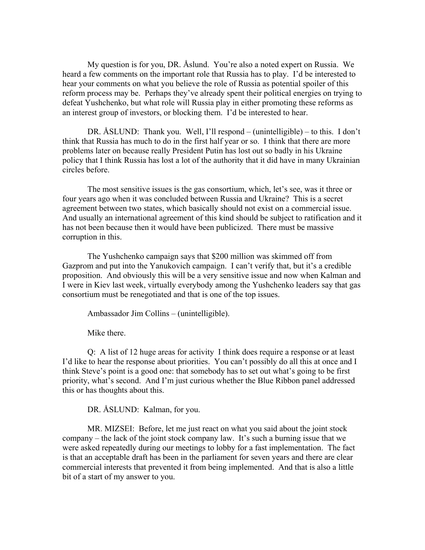My question is for you, DR. Åslund. You're also a noted expert on Russia. We heard a few comments on the important role that Russia has to play. I'd be interested to hear your comments on what you believe the role of Russia as potential spoiler of this reform process may be. Perhaps they've already spent their political energies on trying to defeat Yushchenko, but what role will Russia play in either promoting these reforms as an interest group of investors, or blocking them. I'd be interested to hear.

DR. ÅSLUND: Thank you. Well, I'll respond – (unintelligible) – to this. I don't think that Russia has much to do in the first half year or so. I think that there are more problems later on because really President Putin has lost out so badly in his Ukraine policy that I think Russia has lost a lot of the authority that it did have in many Ukrainian circles before.

The most sensitive issues is the gas consortium, which, let's see, was it three or four years ago when it was concluded between Russia and Ukraine? This is a secret agreement between two states, which basically should not exist on a commercial issue. And usually an international agreement of this kind should be subject to ratification and it has not been because then it would have been publicized. There must be massive corruption in this.

The Yushchenko campaign says that \$200 million was skimmed off from Gazprom and put into the Yanukovich campaign. I can't verify that, but it's a credible proposition. And obviously this will be a very sensitive issue and now when Kalman and I were in Kiev last week, virtually everybody among the Yushchenko leaders say that gas consortium must be renegotiated and that is one of the top issues.

Ambassador Jim Collins – (unintelligible).

Mike there.

Q: A list of 12 huge areas for activity I think does require a response or at least I'd like to hear the response about priorities. You can't possibly do all this at once and I think Steve's point is a good one: that somebody has to set out what's going to be first priority, what's second. And I'm just curious whether the Blue Ribbon panel addressed this or has thoughts about this.

DR. ÅSLUND: Kalman, for you.

MR. MIZSEI: Before, let me just react on what you said about the joint stock company – the lack of the joint stock company law. It's such a burning issue that we were asked repeatedly during our meetings to lobby for a fast implementation. The fact is that an acceptable draft has been in the parliament for seven years and there are clear commercial interests that prevented it from being implemented. And that is also a little bit of a start of my answer to you.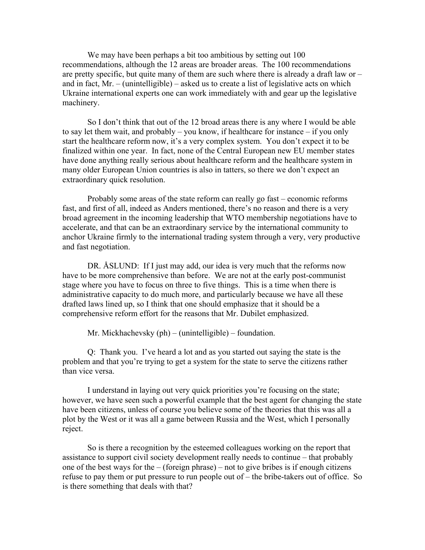We may have been perhaps a bit too ambitious by setting out 100 recommendations, although the 12 areas are broader areas. The 100 recommendations are pretty specific, but quite many of them are such where there is already a draft law or – and in fact, Mr. – (unintelligible) – asked us to create a list of legislative acts on which Ukraine international experts one can work immediately with and gear up the legislative machinery.

So I don't think that out of the 12 broad areas there is any where I would be able to say let them wait, and probably – you know, if healthcare for instance – if you only start the healthcare reform now, it's a very complex system. You don't expect it to be finalized within one year. In fact, none of the Central European new EU member states have done anything really serious about healthcare reform and the healthcare system in many older European Union countries is also in tatters, so there we don't expect an extraordinary quick resolution.

Probably some areas of the state reform can really go fast – economic reforms fast, and first of all, indeed as Anders mentioned, there's no reason and there is a very broad agreement in the incoming leadership that WTO membership negotiations have to accelerate, and that can be an extraordinary service by the international community to anchor Ukraine firmly to the international trading system through a very, very productive and fast negotiation.

DR. ASLUND: If I just may add, our idea is very much that the reforms now have to be more comprehensive than before. We are not at the early post-communist stage where you have to focus on three to five things. This is a time when there is administrative capacity to do much more, and particularly because we have all these drafted laws lined up, so I think that one should emphasize that it should be a comprehensive reform effort for the reasons that Mr. Dubilet emphasized.

Mr. Mickhachevsky (ph) – (unintelligible) – foundation.

Q: Thank you. I've heard a lot and as you started out saying the state is the problem and that you're trying to get a system for the state to serve the citizens rather than vice versa.

I understand in laying out very quick priorities you're focusing on the state; however, we have seen such a powerful example that the best agent for changing the state have been citizens, unless of course you believe some of the theories that this was all a plot by the West or it was all a game between Russia and the West, which I personally reject.

So is there a recognition by the esteemed colleagues working on the report that assistance to support civil society development really needs to continue – that probably one of the best ways for the  $-$  (foreign phrase) – not to give bribes is if enough citizens refuse to pay them or put pressure to run people out of – the bribe-takers out of office. So is there something that deals with that?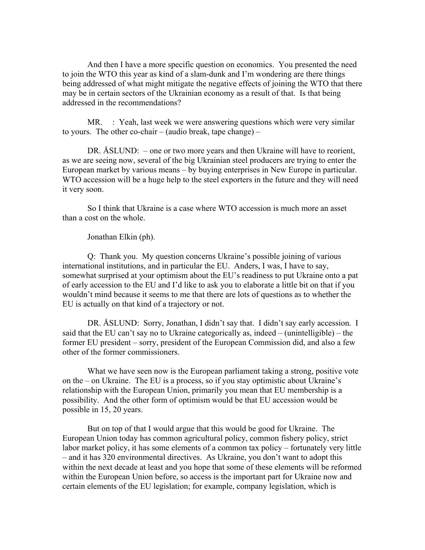And then I have a more specific question on economics. You presented the need to join the WTO this year as kind of a slam-dunk and I'm wondering are there things being addressed of what might mitigate the negative effects of joining the WTO that there may be in certain sectors of the Ukrainian economy as a result of that. Is that being addressed in the recommendations?

MR. : Yeah, last week we were answering questions which were very similar to yours. The other co-chair – (audio break, tape change) –

DR. ÅSLUND: – one or two more years and then Ukraine will have to reorient, as we are seeing now, several of the big Ukrainian steel producers are trying to enter the European market by various means – by buying enterprises in New Europe in particular. WTO accession will be a huge help to the steel exporters in the future and they will need it very soon.

So I think that Ukraine is a case where WTO accession is much more an asset than a cost on the whole.

Jonathan Elkin (ph).

Q: Thank you. My question concerns Ukraine's possible joining of various international institutions, and in particular the EU. Anders, I was, I have to say, somewhat surprised at your optimism about the EU's readiness to put Ukraine onto a pat of early accession to the EU and I'd like to ask you to elaborate a little bit on that if you wouldn't mind because it seems to me that there are lots of questions as to whether the EU is actually on that kind of a trajectory or not.

DR. ÅSLUND: Sorry, Jonathan, I didn't say that. I didn't say early accession. I said that the EU can't say no to Ukraine categorically as, indeed – (unintelligible) – the former EU president – sorry, president of the European Commission did, and also a few other of the former commissioners.

What we have seen now is the European parliament taking a strong, positive vote on the – on Ukraine. The EU is a process, so if you stay optimistic about Ukraine's relationship with the European Union, primarily you mean that EU membership is a possibility. And the other form of optimism would be that EU accession would be possible in 15, 20 years.

But on top of that I would argue that this would be good for Ukraine. The European Union today has common agricultural policy, common fishery policy, strict labor market policy, it has some elements of a common tax policy – fortunately very little – and it has 320 environmental directives. As Ukraine, you don't want to adopt this within the next decade at least and you hope that some of these elements will be reformed within the European Union before, so access is the important part for Ukraine now and certain elements of the EU legislation; for example, company legislation, which is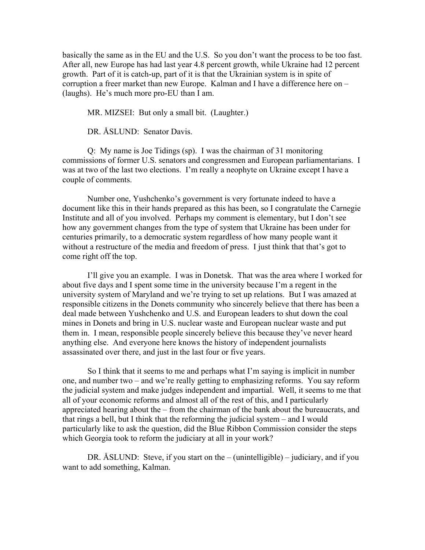basically the same as in the EU and the U.S. So you don't want the process to be too fast. After all, new Europe has had last year 4.8 percent growth, while Ukraine had 12 percent growth. Part of it is catch-up, part of it is that the Ukrainian system is in spite of corruption a freer market than new Europe. Kalman and I have a difference here on – (laughs). He's much more pro-EU than I am.

MR. MIZSEI: But only a small bit. (Laughter.)

DR. ÅSLUND: Senator Davis.

Q: My name is Joe Tidings (sp). I was the chairman of 31 monitoring commissions of former U.S. senators and congressmen and European parliamentarians. I was at two of the last two elections. I'm really a neophyte on Ukraine except I have a couple of comments.

Number one, Yushchenko's government is very fortunate indeed to have a document like this in their hands prepared as this has been, so I congratulate the Carnegie Institute and all of you involved. Perhaps my comment is elementary, but I don't see how any government changes from the type of system that Ukraine has been under for centuries primarily, to a democratic system regardless of how many people want it without a restructure of the media and freedom of press. I just think that that's got to come right off the top.

I'll give you an example. I was in Donetsk. That was the area where I worked for about five days and I spent some time in the university because I'm a regent in the university system of Maryland and we're trying to set up relations. But I was amazed at responsible citizens in the Donets community who sincerely believe that there has been a deal made between Yushchenko and U.S. and European leaders to shut down the coal mines in Donets and bring in U.S. nuclear waste and European nuclear waste and put them in. I mean, responsible people sincerely believe this because they've never heard anything else. And everyone here knows the history of independent journalists assassinated over there, and just in the last four or five years.

So I think that it seems to me and perhaps what I'm saying is implicit in number one, and number two – and we're really getting to emphasizing reforms. You say reform the judicial system and make judges independent and impartial. Well, it seems to me that all of your economic reforms and almost all of the rest of this, and I particularly appreciated hearing about the – from the chairman of the bank about the bureaucrats, and that rings a bell, but I think that the reforming the judicial system – and I would particularly like to ask the question, did the Blue Ribbon Commission consider the steps which Georgia took to reform the judiciary at all in your work?

DR. ÅSLUND: Steve, if you start on the – (unintelligible) – judiciary, and if you want to add something, Kalman.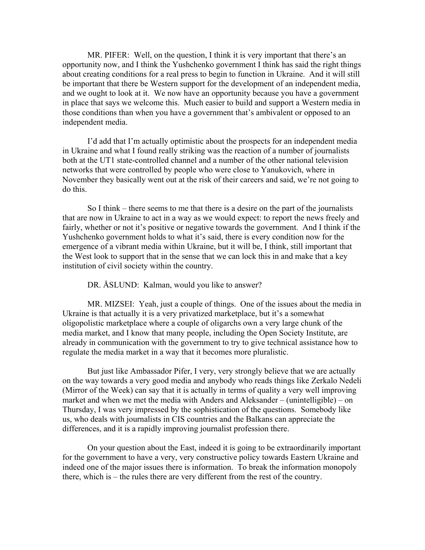MR. PIFER: Well, on the question, I think it is very important that there's an opportunity now, and I think the Yushchenko government I think has said the right things about creating conditions for a real press to begin to function in Ukraine. And it will still be important that there be Western support for the development of an independent media, and we ought to look at it. We now have an opportunity because you have a government in place that says we welcome this. Much easier to build and support a Western media in those conditions than when you have a government that's ambivalent or opposed to an independent media.

I'd add that I'm actually optimistic about the prospects for an independent media in Ukraine and what I found really striking was the reaction of a number of journalists both at the UT1 state-controlled channel and a number of the other national television networks that were controlled by people who were close to Yanukovich, where in November they basically went out at the risk of their careers and said, we're not going to do this.

So I think – there seems to me that there is a desire on the part of the journalists that are now in Ukraine to act in a way as we would expect: to report the news freely and fairly, whether or not it's positive or negative towards the government. And I think if the Yushchenko government holds to what it's said, there is every condition now for the emergence of a vibrant media within Ukraine, but it will be, I think, still important that the West look to support that in the sense that we can lock this in and make that a key institution of civil society within the country.

DR. ÅSLUND: Kalman, would you like to answer?

MR. MIZSEI: Yeah, just a couple of things. One of the issues about the media in Ukraine is that actually it is a very privatized marketplace, but it's a somewhat oligopolistic marketplace where a couple of oligarchs own a very large chunk of the media market, and I know that many people, including the Open Society Institute, are already in communication with the government to try to give technical assistance how to regulate the media market in a way that it becomes more pluralistic.

But just like Ambassador Pifer, I very, very strongly believe that we are actually on the way towards a very good media and anybody who reads things like Zerkalo Nedeli (Mirror of the Week) can say that it is actually in terms of quality a very well improving market and when we met the media with Anders and Aleksander – (unintelligible) – on Thursday, I was very impressed by the sophistication of the questions. Somebody like us, who deals with journalists in CIS countries and the Balkans can appreciate the differences, and it is a rapidly improving journalist profession there.

On your question about the East, indeed it is going to be extraordinarily important for the government to have a very, very constructive policy towards Eastern Ukraine and indeed one of the major issues there is information. To break the information monopoly there, which is – the rules there are very different from the rest of the country.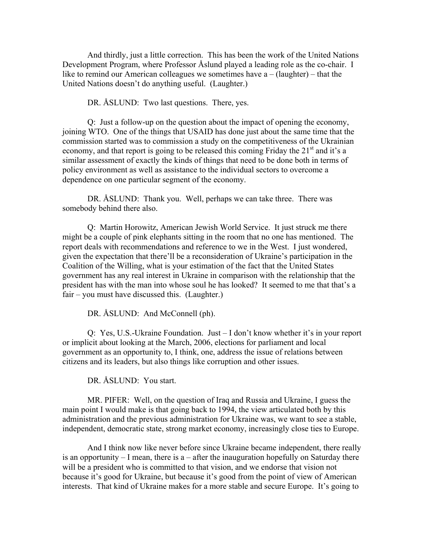And thirdly, just a little correction. This has been the work of the United Nations Development Program, where Professor Åslund played a leading role as the co-chair. I like to remind our American colleagues we sometimes have a – (laughter) – that the United Nations doesn't do anything useful. (Laughter.)

DR. ÅSLUND: Two last questions. There, yes.

Q: Just a follow-up on the question about the impact of opening the economy, joining WTO. One of the things that USAID has done just about the same time that the commission started was to commission a study on the competitiveness of the Ukrainian economy, and that report is going to be released this coming Friday the  $21<sup>st</sup>$  and it's a similar assessment of exactly the kinds of things that need to be done both in terms of policy environment as well as assistance to the individual sectors to overcome a dependence on one particular segment of the economy.

DR. ÅSLUND: Thank you. Well, perhaps we can take three. There was somebody behind there also.

Q: Martin Horowitz, American Jewish World Service. It just struck me there might be a couple of pink elephants sitting in the room that no one has mentioned. The report deals with recommendations and reference to we in the West. I just wondered, given the expectation that there'll be a reconsideration of Ukraine's participation in the Coalition of the Willing, what is your estimation of the fact that the United States government has any real interest in Ukraine in comparison with the relationship that the president has with the man into whose soul he has looked? It seemed to me that that's a fair – you must have discussed this. (Laughter.)

DR. ÅSLUND: And McConnell (ph).

Q: Yes, U.S.-Ukraine Foundation. Just – I don't know whether it's in your report or implicit about looking at the March, 2006, elections for parliament and local government as an opportunity to, I think, one, address the issue of relations between citizens and its leaders, but also things like corruption and other issues.

DR. ÅSLUND: You start.

MR. PIFER: Well, on the question of Iraq and Russia and Ukraine, I guess the main point I would make is that going back to 1994, the view articulated both by this administration and the previous administration for Ukraine was, we want to see a stable, independent, democratic state, strong market economy, increasingly close ties to Europe.

And I think now like never before since Ukraine became independent, there really is an opportunity  $- I$  mean, there is a  $-$  after the inauguration hopefully on Saturday there will be a president who is committed to that vision, and we endorse that vision not because it's good for Ukraine, but because it's good from the point of view of American interests. That kind of Ukraine makes for a more stable and secure Europe. It's going to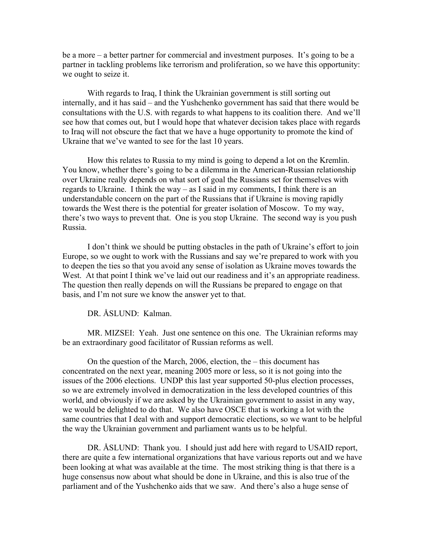be a more – a better partner for commercial and investment purposes. It's going to be a partner in tackling problems like terrorism and proliferation, so we have this opportunity: we ought to seize it.

With regards to Iraq, I think the Ukrainian government is still sorting out internally, and it has said – and the Yushchenko government has said that there would be consultations with the U.S. with regards to what happens to its coalition there. And we'll see how that comes out, but I would hope that whatever decision takes place with regards to Iraq will not obscure the fact that we have a huge opportunity to promote the kind of Ukraine that we've wanted to see for the last 10 years.

How this relates to Russia to my mind is going to depend a lot on the Kremlin. You know, whether there's going to be a dilemma in the American-Russian relationship over Ukraine really depends on what sort of goal the Russians set for themselves with regards to Ukraine. I think the way – as I said in my comments, I think there is an understandable concern on the part of the Russians that if Ukraine is moving rapidly towards the West there is the potential for greater isolation of Moscow. To my way, there's two ways to prevent that. One is you stop Ukraine. The second way is you push Russia.

I don't think we should be putting obstacles in the path of Ukraine's effort to join Europe, so we ought to work with the Russians and say we're prepared to work with you to deepen the ties so that you avoid any sense of isolation as Ukraine moves towards the West. At that point I think we've laid out our readiness and it's an appropriate readiness. The question then really depends on will the Russians be prepared to engage on that basis, and I'm not sure we know the answer yet to that.

DR. ÅSLUND: Kalman.

MR. MIZSEI: Yeah. Just one sentence on this one. The Ukrainian reforms may be an extraordinary good facilitator of Russian reforms as well.

On the question of the March, 2006, election, the – this document has concentrated on the next year, meaning 2005 more or less, so it is not going into the issues of the 2006 elections. UNDP this last year supported 50-plus election processes, so we are extremely involved in democratization in the less developed countries of this world, and obviously if we are asked by the Ukrainian government to assist in any way, we would be delighted to do that. We also have OSCE that is working a lot with the same countries that I deal with and support democratic elections, so we want to be helpful the way the Ukrainian government and parliament wants us to be helpful.

DR. ÅSLUND: Thank you. I should just add here with regard to USAID report, there are quite a few international organizations that have various reports out and we have been looking at what was available at the time. The most striking thing is that there is a huge consensus now about what should be done in Ukraine, and this is also true of the parliament and of the Yushchenko aids that we saw. And there's also a huge sense of